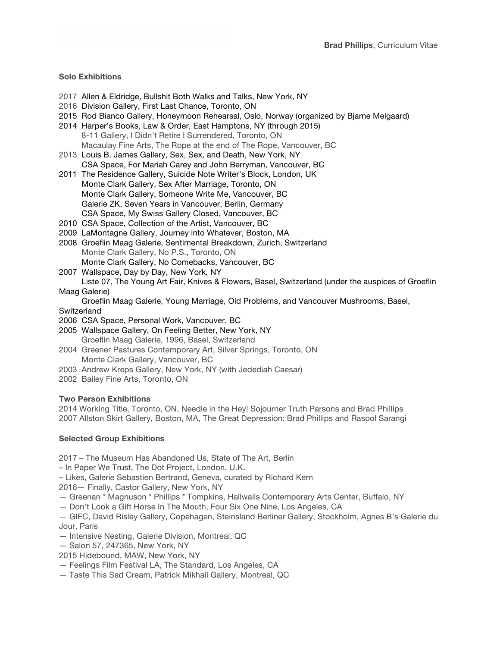## **Solo Exhibitions**

- 2017 Allen & Eldridge, Bullshit Both Walks and Talks, New York, NY
- 2016 Division Gallery, First Last Chance, Toronto, ON
- 2015 Rod Bianco Gallery, Honeymoon Rehearsal, Oslo, Norway (organized by Bjarne Melgaard)
- 2014 Harper's Books, Law & Order, East Hamptons, NY (through 2015) 8-11 Gallery, I Didn't Retire I Surrendered, Toronto, ON Macaulay Fine Arts, The Rope at the end of The Rope, Vancouver, BC
- 2013 Louis B. James Gallery, Sex, Sex, and Death, New York, NY CSA Space, For Mariah Carey and John Berryman, Vancouver, BC
- 2011 The Residence Gallery, Suicide Note Writer's Block, London, UK Monte Clark Gallery, Sex After Marriage, Toronto, ON Monte Clark Gallery, Someone Write Me, Vancouver, BC Galerie ZK, Seven Years in Vancouver, Berlin, Germany CSA Space, My Swiss Gallery Closed, Vancouver, BC
- 2010 CSA Space, Collection of the Artist, Vancouver, BC
- 2009 LaMontagne Gallery, Journey into Whatever, Boston, MA
- 2008 Groeflin Maag Galerie, Sentimental Breakdown, Zurich, Switzerland Monte Clark Gallery, No P.S., Toronto, ON Monte Clark Gallery, No Comebacks, Vancouver, BC
- 2007 Wallspace, Day by Day, New York, NY Liste 07, The Young Art Fair, Knives & Flowers, Basel, Switzerland (under the auspices of Groeflin

Maag Galerie)

Groeflin Maag Galerie, Young Marriage, Old Problems, and Vancouver Mushrooms, Basel,

**Switzerland** 

- 2006 CSA Space, Personal Work, Vancouver, BC
- 2005 Wallspace Gallery, On Feeling Better, New York, NY Groeflin Maag Galerie, 1996, Basel, Switzerland
- 2004 Greener Pastures Contemporary Art, Silver Springs, Toronto, ON Monte Clark Gallery, Vancouver, BC
- 2003 Andrew Kreps Gallery, New York, NY (with Jedediah Caesar)
- 2002 Bailey Fine Arts, Toronto, ON

# **Two Person Exhibitions**

2014 Working Title, Toronto, ON, Needle in the Hey! Sojourner Truth Parsons and Brad Phillips 2007 Allston Skirt Gallery, Boston, MA, The Great Depression: Brad Phillips and Rasool Sarangi

# **Selected Group Exhibitions**

2017 – The Museum Has Abandoned Us, State of The Art, Berlin

- In Paper We Trust, The Dot Project, London, U.K.
- Likes, Galerie Sebastien Bertrand, Geneva, curated by Richard Kern

2016— Finally, Castor Gallery, New York, NY

- Greenan \* Magnuson \* Phillips \* Tompkins, Hallwalls Contemporary Arts Center, Buffalo, NY
- Don't Look a Gift Horse In The Mouth, Four Six One Nine, Los Angeles, CA

— GIFC, David Risley Gallery, Copehagen, Steinsland Berliner Gallery, Stockholm, Agnes B's Galerie du Jour, Paris

- Intensive Nesting, Galerie Division, Montreal, QC
- Salon 57, 247365, New York, NY
- 2015 Hidebound, MAW, New York, NY
- Feelings Film Festival LA, The Standard, Los Angeles, CA
- Taste This Sad Cream, Patrick Mikhail Gallery, Montreal, QC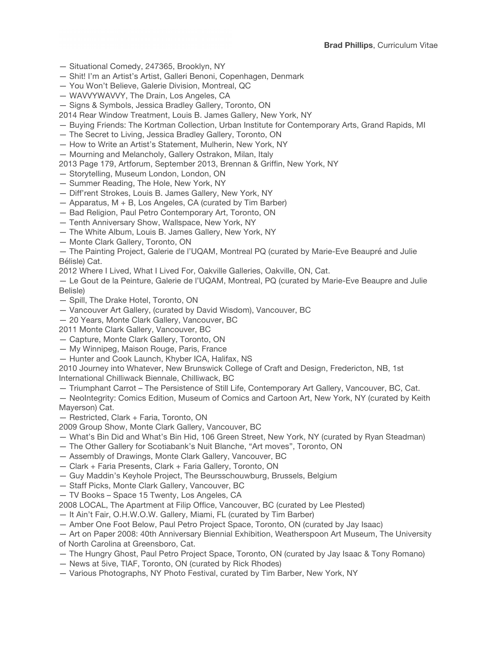- Situational Comedy, 247365, Brooklyn, NY
- Shit! I'm an Artist's Artist, Galleri Benoni, Copenhagen, Denmark
- You Won't Believe, Galerie Division, Montreal, QC
- WAVVYWAVVY, The Drain, Los Angeles, CA
- Signs & Symbols, Jessica Bradley Gallery, Toronto, ON

2014 Rear Window Treatment, Louis B. James Gallery, New York, NY

- Buying Friends: The Kortman Collection, Urban Institute for Contemporary Arts, Grand Rapids, MI
- The Secret to Living, Jessica Bradley Gallery, Toronto, ON
- How to Write an Artist's Statement, Mulherin, New York, NY
- Mourning and Melancholy, Gallery Ostrakon, Milan, Italy
- 2013 Page 179, Artforum, September 2013, Brennan & Griffin, New York, NY
- Storytelling, Museum London, London, ON
- Summer Reading, The Hole, New York, NY
- Diff'rent Strokes, Louis B. James Gallery, New York, NY
- Apparatus, M + B, Los Angeles, CA (curated by Tim Barber)
- Bad Religion, Paul Petro Contemporary Art, Toronto, ON
- Tenth Anniversary Show, Wallspace, New York, NY
- The White Album, Louis B. James Gallery, New York, NY
- Monte Clark Gallery, Toronto, ON

— The Painting Project, Galerie de l'UQAM, Montreal PQ (curated by Marie-Eve Beaupré and Julie Bélisle) Cat.

2012 Where I Lived, What I Lived For, Oakville Galleries, Oakville, ON, Cat.

— Le Gout de la Peinture, Galerie de l'UQAM, Montreal, PQ (curated by Marie-Eve Beaupre and Julie Belisle)

- Spill, The Drake Hotel, Toronto, ON
- Vancouver Art Gallery, (curated by David Wisdom), Vancouver, BC
- 20 Years, Monte Clark Gallery, Vancouver, BC

2011 Monte Clark Gallery, Vancouver, BC

- Capture, Monte Clark Gallery, Toronto, ON
- My Winnipeg, Maison Rouge, Paris, France
- Hunter and Cook Launch, Khyber ICA, Halifax, NS

2010 Journey into Whatever, New Brunswick College of Craft and Design, Fredericton, NB, 1st International Chilliwack Biennale, Chilliwack, BC

— Triumphant Carrot – The Persistence of Still Life, Contemporary Art Gallery, Vancouver, BC, Cat.

— NeoIntegrity: Comics Edition, Museum of Comics and Cartoon Art, New York, NY (curated by Keith Mayerson) Cat.

— Restricted, Clark + Faria, Toronto, ON

- 2009 Group Show, Monte Clark Gallery, Vancouver, BC
- What's Bin Did and What's Bin Hid, 106 Green Street, New York, NY (curated by Ryan Steadman)
- The Other Gallery for Scotiabank's Nuit Blanche, "Art moves", Toronto, ON
- Assembly of Drawings, Monte Clark Gallery, Vancouver, BC
- Clark + Faria Presents, Clark + Faria Gallery, Toronto, ON
- Guy Maddin's Keyhole Project, The Beursschouwburg, Brussels, Belgium
- Staff Picks, Monte Clark Gallery, Vancouver, BC
- TV Books Space 15 Twenty, Los Angeles, CA
- 2008 LOCAL, The Apartment at Filip Office, Vancouver, BC (curated by Lee Plested)
- It Ain't Fair, O.H.W.O.W. Gallery, Miami, FL (curated by Tim Barber)
- Amber One Foot Below, Paul Petro Project Space, Toronto, ON (curated by Jay Isaac)

— Art on Paper 2008: 40th Anniversary Biennial Exhibition, Weatherspoon Art Museum, The University of North Carolina at Greensboro, Cat.

- The Hungry Ghost, Paul Petro Project Space, Toronto, ON (curated by Jay Isaac & Tony Romano)
- News at 5ive, TIAF, Toronto, ON (curated by Rick Rhodes)
- Various Photographs, NY Photo Festival, curated by Tim Barber, New York, NY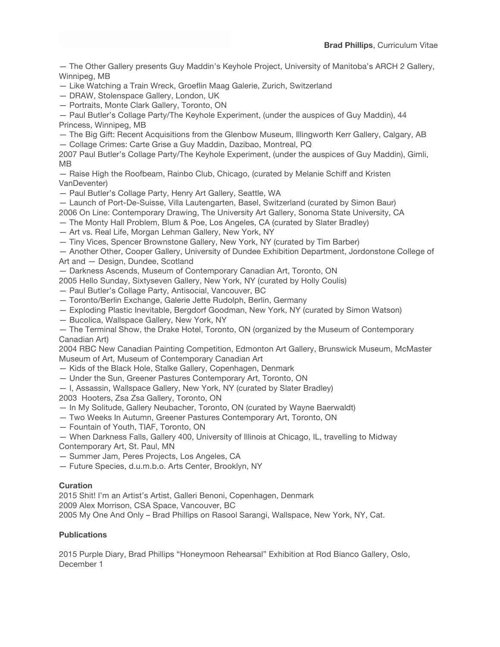— The Other Gallery presents Guy Maddin's Keyhole Project, University of Manitoba's ARCH 2 Gallery, Winnipeg, MB

— Like Watching a Train Wreck, Groeflin Maag Galerie, Zurich, Switzerland

— DRAW, Stolenspace Gallery, London, UK

— Portraits, Monte Clark Gallery, Toronto, ON

— Paul Butler's Collage Party/The Keyhole Experiment, (under the auspices of Guy Maddin), 44 Princess, Winnipeg, MB

— The Big Gift: Recent Acquisitions from the Glenbow Museum, Illingworth Kerr Gallery, Calgary, AB

— Collage Crimes: Carte Grise a Guy Maddin, Dazibao, Montreal, PQ

2007 Paul Butler's Collage Party/The Keyhole Experiment, (under the auspices of Guy Maddin), Gimli, MB

— Raise High the Roofbeam, Rainbo Club, Chicago, (curated by Melanie Schiff and Kristen VanDeventer)

— Paul Butler's Collage Party, Henry Art Gallery, Seattle, WA

— Launch of Port-De-Suisse, Villa Lautengarten, Basel, Switzerland (curated by Simon Baur)

- 2006 On Line: Contemporary Drawing, The University Art Gallery, Sonoma State University, CA
- The Monty Hall Problem, Blum & Poe, Los Angeles, CA (curated by Slater Bradley)

— Art vs. Real Life, Morgan Lehman Gallery, New York, NY

— Tiny Vices, Spencer Brownstone Gallery, New York, NY (curated by Tim Barber)

— Another Other, Cooper Gallery, University of Dundee Exhibition Department, Jordonstone College of Art and — Design, Dundee, Scotland

— Darkness Ascends, Museum of Contemporary Canadian Art, Toronto, ON

2005 Hello Sunday, Sixtyseven Gallery, New York, NY (curated by Holly Coulis)

- Paul Butler's Collage Party, Antisocial, Vancouver, BC
- Toronto/Berlin Exchange, Galerie Jette Rudolph, Berlin, Germany
- Exploding Plastic Inevitable, Bergdorf Goodman, New York, NY (curated by Simon Watson)
- Bucolica, Wallspace Gallery, New York, NY
- The Terminal Show, the Drake Hotel, Toronto, ON (organized by the Museum of Contemporary Canadian Art)

2004 RBC New Canadian Painting Competition, Edmonton Art Gallery, Brunswick Museum, McMaster Museum of Art, Museum of Contemporary Canadian Art

- Kids of the Black Hole, Stalke Gallery, Copenhagen, Denmark
- Under the Sun, Greener Pastures Contemporary Art, Toronto, ON
- I, Assassin, Wallspace Gallery, New York, NY (curated by Slater Bradley)

2003 Hooters, Zsa Zsa Gallery, Toronto, ON

- In My Solitude, Gallery Neubacher, Toronto, ON (curated by Wayne Baerwaldt)
- Two Weeks In Autumn, Greener Pastures Contemporary Art, Toronto, ON
- Fountain of Youth, TIAF, Toronto, ON
- When Darkness Falls, Gallery 400, University of Illinois at Chicago, IL, travelling to Midway Contemporary Art, St. Paul, MN
- Summer Jam, Peres Projects, Los Angeles, CA
- Future Species, d.u.m.b.o. Arts Center, Brooklyn, NY

## **Curation**

2015 Shit! I'm an Artist's Artist, Galleri Benoni, Copenhagen, Denmark 2009 Alex Morrison, CSA Space, Vancouver, BC 2005 My One And Only – Brad Phillips on Rasool Sarangi, Wallspace, New York, NY, Cat.

## **Publications**

2015 Purple Diary, Brad Phillips "Honeymoon Rehearsal" Exhibition at Rod Bianco Gallery, Oslo, December 1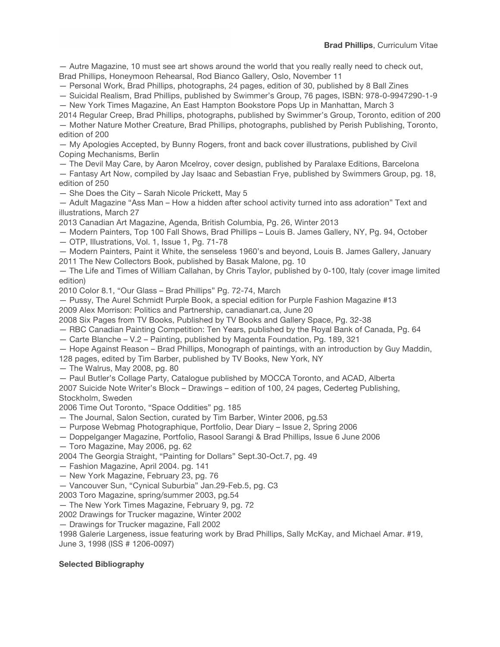— Autre Magazine, 10 must see art shows around the world that you really really need to check out, Brad Phillips, Honeymoon Rehearsal, Rod Bianco Gallery, Oslo, November 11

— Personal Work, Brad Phillips, photographs, 24 pages, edition of 30, published by 8 Ball Zines

— Suicidal Realism, Brad Phillips, published by Swimmer's Group, 76 pages, ISBN: 978-0-9947290-1-9 — New York Times Magazine, An East Hampton Bookstore Pops Up in Manhattan, March 3

2014 Regular Creep, Brad Phillips, photographs, published by Swimmer's Group, Toronto, edition of 200 — Mother Nature Mother Creature, Brad Phillips, photographs, published by Perish Publishing, Toronto, edition of 200

— My Apologies Accepted, by Bunny Rogers, front and back cover illustrations, published by Civil Coping Mechanisms, Berlin

— The Devil May Care, by Aaron Mcelroy, cover design, published by Paralaxe Editions, Barcelona

— Fantasy Art Now, compiled by Jay Isaac and Sebastian Frye, published by Swimmers Group, pg. 18, edition of 250

— She Does the City – Sarah Nicole Prickett, May 5

— Adult Magazine "Ass Man – How a hidden after school activity turned into ass adoration" Text and illustrations, March 27

2013 Canadian Art Magazine, Agenda, British Columbia, Pg. 26, Winter 2013

— Modern Painters, Top 100 Fall Shows, Brad Phillips – Louis B. James Gallery, NY, Pg. 94, October — OTP, Illustrations, Vol. 1, Issue 1, Pg. 71-78

— Modern Painters, Paint it White, the senseless 1960's and beyond, Louis B. James Gallery, January 2011 The New Collectors Book, published by Basak Malone, pg. 10

— The Life and Times of William Callahan, by Chris Taylor, published by 0-100, Italy (cover image limited edition)

2010 Color 8.1, "Our Glass – Brad Phillips" Pg. 72-74, March

— Pussy, The Aurel Schmidt Purple Book, a special edition for Purple Fashion Magazine #13

2009 Alex Morrison: Politics and Partnership, canadianart.ca, June 20

2008 Six Pages from TV Books, Published by TV Books and Gallery Space, Pg. 32-38

— RBC Canadian Painting Competition: Ten Years, published by the Royal Bank of Canada, Pg. 64

— Carte Blanche – V.2 – Painting, published by Magenta Foundation, Pg. 189, 321

— Hope Against Reason – Brad Phillips, Monograph of paintings, with an introduction by Guy Maddin,

128 pages, edited by Tim Barber, published by TV Books, New York, NY

— The Walrus, May 2008, pg. 80

— Paul Butler's Collage Party, Catalogue published by MOCCA Toronto, and ACAD, Alberta

2007 Suicide Note Writer's Block – Drawings – edition of 100, 24 pages, Cederteg Publishing, Stockholm, Sweden

2006 Time Out Toronto, "Space Oddities" pg. 185

- The Journal, Salon Section, curated by Tim Barber, Winter 2006, pg.53
- Purpose Webmag Photographique, Portfolio, Dear Diary Issue 2, Spring 2006
- Doppelganger Magazine, Portfolio, Rasool Sarangi & Brad Phillips, Issue 6 June 2006
- Toro Magazine, May 2006, pg. 62
- 2004 The Georgia Straight, "Painting for Dollars" Sept.30-Oct.7, pg. 49
- Fashion Magazine, April 2004. pg. 141
- New York Magazine, February 23, pg. 76

— Vancouver Sun, "Cynical Suburbia" Jan.29-Feb.5, pg. C3

2003 Toro Magazine, spring/summer 2003, pg.54

— The New York Times Magazine, February 9, pg. 72

2002 Drawings for Trucker magazine, Winter 2002

— Drawings for Trucker magazine, Fall 2002

1998 Galerie Largeness, issue featuring work by Brad Phillips, Sally McKay, and Michael Amar. #19, June 3, 1998 (ISS # 1206-0097)

## **Selected Bibliography**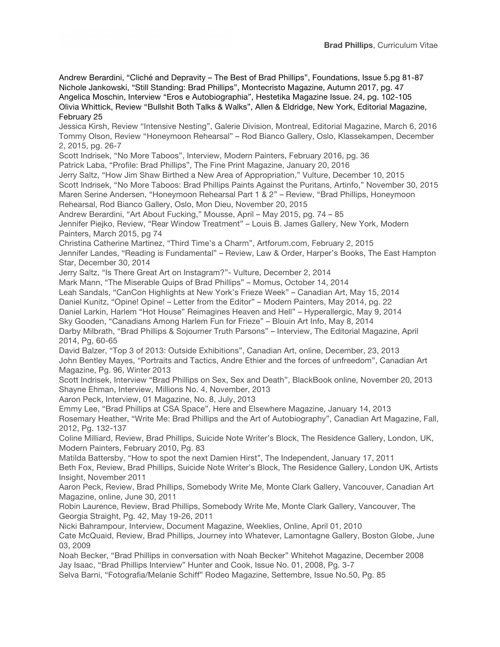Andrew Berardini, "Cliché and Depravity – The Best of Brad Phillips", Foundations, Issue 5.pg 81-87 Nichole Jankowski, "Still Standing: Brad Phillips", Montecristo Magazine, Autumn 2017, pg. 47 Angelica Moschin, Interview "Eros e Autobiographia", Hestetika Magazine Issue. 24, pg. 102-105 Olivia Whittick, Review "Bullshit Both Talks & Walks", Allen & Eldridge, New York, Editorial Magazine, February 25

Jessica Kirsh, Review "Intensive Nesting", Galerie Division, Montreal, Editorial Magazine, March 6, 2016 Tommy Olson, Review "Honeymoon Rehearsal" – Rod Bianco Gallery, Oslo, Klassekampen, December 2, 2015, pg. 26-7

Scott Indrisek, "No More Taboos", Interview, Modern Painters, February 2016, pg. 36

Patrick Laba, "Profile: Brad Phillips", The Fine Print Magazine, January 20, 2016

Jerry Saltz, "How Jim Shaw Birthed a New Area of Appropriation," Vulture, December 10, 2015 Scott Indrisek, "No More Taboos: Brad Phillips Paints Against the Puritans, Artinfo," November 30, 2015 Maren Serine Andersen, "Honeymoon Rehearsal Part 1 & 2" – Review, "Brad Phillips, Honeymoon Rehearsal, Rod Bianco Gallery, Oslo, Mon Dieu, November 20, 2015

Andrew Berardini, "Art About Fucking," Mousse, April – May 2015, pg. 74 – 85

Jennifer Piejko, Review, "Rear Window Treatment" – Louis B. James Gallery, New York, Modern Painters, March 2015, pg 74

Christina Catherine Martinez, "Third Time's a Charm", Artforum.com, February 2, 2015

Jennifer Landes, "Reading is Fundamental" – Review, Law & Order, Harper's Books, The East Hampton Star, December 30, 2014

Jerry Saltz, "Is There Great Art on Instagram?"- Vulture, December 2, 2014

Mark Mann, "The Miserable Quips of Brad Phillips" – Momus, October 14, 2014

Leah Sandals, "CanCon Highlights at New York's Frieze Week" – Canadian Art, May 15, 2014

Daniel Kunitz, "Opine! Opine! – Letter from the Editor" – Modern Painters, May 2014, pg. 22

Daniel Larkin, Harlem "Hot House" Reimagines Heaven and Hell" – Hyperallergic, May 9, 2014

Sky Gooden, "Canadians Among Harlem Fun for Frieze" – Blouin Art Info, May 8, 2014

Darby Milbrath, "Brad Phillips & Sojourner Truth Parsons" – Interview, The Editorial Magazine, April 2014, Pg, 60-65

David Balzer, "Top 3 of 2013: Outside Exhibitions", Canadian Art, online, December, 23, 2013 John Bentley Mayes, "Portraits and Tactics, Andre Ethier and the forces of unfreedom", Canadian Art Magazine, Pg. 96, Winter 2013

Scott Indrisek, Interview "Brad Phillips on Sex, Sex and Death", BlackBook online, November 20, 2013 Shayne Ehman, Interview, Millions No. 4, November, 2013

Aaron Peck, Interview, 01 Magazine, No. 8, July, 2013

Emmy Lee, "Brad Phillips at CSA Space", Here and Elsewhere Magazine, January 14, 2013 Rosemary Heather, "Write Me: Brad Phillips and the Art of Autobiography", Canadian Art Magazine, Fall, 2012, Pg. 132-137

Coline Milliard, Review, Brad Phillips, Suicide Note Writer's Block, The Residence Gallery, London, UK, Modern Painters, February 2010, Pg. 83

Matilda Battersby, "How to spot the next Damien Hirst", The Independent, January 17, 2011 Beth Fox, Review, Brad Phillips, Suicide Note Writer's Block, The Residence Gallery, London UK, Artists Insight, November 2011

Aaron Peck, Review, Brad Phillips, Somebody Write Me, Monte Clark Gallery, Vancouver, Canadian Art Magazine, online, June 30, 2011

Robin Laurence, Review, Brad Phillips, Somebody Write Me, Monte Clark Gallery, Vancouver, The Georgia Straight, Pg. 42, May 19-26, 2011

Nicki Bahrampour, Interview, Document Magazine, Weeklies, Online, April 01, 2010

Cate McQuaid, Review, Brad Phillips, Journey into Whatever, Lamontagne Gallery, Boston Globe, June 03, 2009

Noah Becker, "Brad Phillips in conversation with Noah Becker" Whitehot Magazine, December 2008 Jay Isaac, "Brad Phillips Interview" Hunter and Cook, Issue No. 01, 2008, Pg. 3-7

Selva Barni, "Fotografia/Melanie Schiff" Rodeo Magazine, Settembre, Issue No.50, Pg. 85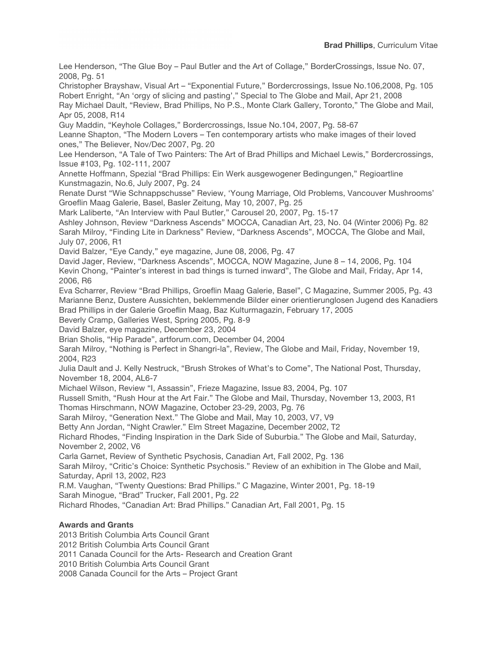Lee Henderson, "The Glue Boy – Paul Butler and the Art of Collage," BorderCrossings, Issue No. 07, 2008, Pg. 51

Christopher Brayshaw, Visual Art – "Exponential Future," Bordercrossings, Issue No.106,2008, Pg. 105 Robert Enright, "An 'orgy of slicing and pasting'," Special to The Globe and Mail, Apr 21, 2008 Ray Michael Dault, "Review, Brad Phillips, No P.S., Monte Clark Gallery, Toronto," The Globe and Mail, Apr 05, 2008, R14

Guy Maddin, "Keyhole Collages," Bordercrossings, Issue No.104, 2007, Pg. 58-67

Leanne Shapton, "The Modern Lovers – Ten contemporary artists who make images of their loved ones," The Believer, Nov/Dec 2007, Pg. 20

Lee Henderson, "A Tale of Two Painters: The Art of Brad Phillips and Michael Lewis," Bordercrossings, Issue #103, Pg. 102-111, 2007

Annette Hoffmann, Spezial "Brad Phillips: Ein Werk ausgewogener Bedingungen," Regioartline Kunstmagazin, No.6, July 2007, Pg. 24

Renate Durst "Wie Schnappschusse" Review, 'Young Marriage, Old Problems, Vancouver Mushrooms' Groeflin Maag Galerie, Basel, Basler Zeitung, May 10, 2007, Pg. 25

Mark Laliberte, "An Interview with Paul Butler," Carousel 20, 2007, Pg. 15-17

Ashley Johnson, Review "Darkness Ascends" MOCCA, Canadian Art, 23, No. 04 (Winter 2006) Pg. 82 Sarah Milroy, "Finding Lite in Darkness" Review, "Darkness Ascends", MOCCA, The Globe and Mail, July 07, 2006, R1

David Balzer, "Eye Candy," eye magazine, June 08, 2006, Pg. 47

David Jager, Review, "Darkness Ascends", MOCCA, NOW Magazine, June 8 – 14, 2006, Pg. 104 Kevin Chong, "Painter's interest in bad things is turned inward", The Globe and Mail, Friday, Apr 14, 2006, R6

Eva Scharrer, Review "Brad Phillips, Groeflin Maag Galerie, Basel", C Magazine, Summer 2005, Pg. 43 Marianne Benz, Dustere Aussichten, beklemmende Bilder einer orientierunglosen Jugend des Kanadiers Brad Phillips in der Galerie Groeflin Maag, Baz Kulturmagazin, February 17, 2005

Beverly Cramp, Galleries West, Spring 2005, Pg. 8-9

David Balzer, eye magazine, December 23, 2004

Brian Sholis, "Hip Parade", artforum.com, December 04, 2004

Sarah Milroy, "Nothing is Perfect in Shangri-la", Review, The Globe and Mail, Friday, November 19, 2004, R23

Julia Dault and J. Kelly Nestruck, "Brush Strokes of What's to Come", The National Post, Thursday, November 18, 2004, AL6-7

Michael Wilson, Review "I, Assassin", Frieze Magazine, Issue 83, 2004, Pg. 107

Russell Smith, "Rush Hour at the Art Fair." The Globe and Mail, Thursday, November 13, 2003, R1 Thomas Hirschmann, NOW Magazine, October 23-29, 2003, Pg. 76

Sarah Milroy, "Generation Next." The Globe and Mail, May 10, 2003, V7, V9

Betty Ann Jordan, "Night Crawler." Elm Street Magazine, December 2002, T2

Richard Rhodes, "Finding Inspiration in the Dark Side of Suburbia." The Globe and Mail, Saturday, November 2, 2002, V6

Carla Garnet, Review of Synthetic Psychosis, Canadian Art, Fall 2002, Pg. 136

Sarah Milroy, "Critic's Choice: Synthetic Psychosis." Review of an exhibition in The Globe and Mail, Saturday, April 13, 2002, R23

R.M. Vaughan, "Twenty Questions: Brad Phillips." C Magazine, Winter 2001, Pg. 18-19

Sarah Minogue, "Brad" Trucker, Fall 2001, Pg. 22

Richard Rhodes, "Canadian Art: Brad Phillips." Canadian Art, Fall 2001, Pg. 15

# **Awards and Grants**

2013 British Columbia Arts Council Grant

2012 British Columbia Arts Council Grant

2011 Canada Council for the Arts- Research and Creation Grant

2010 British Columbia Arts Council Grant

2008 Canada Council for the Arts – Project Grant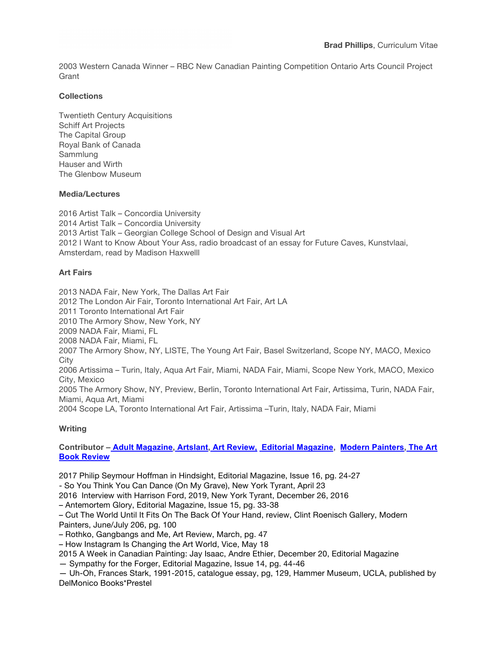2003 Western Canada Winner – RBC New Canadian Painting Competition Ontario Arts Council Project Grant

## **Collections**

Twentieth Century Acquisitions Schiff Art Projects The Capital Group Royal Bank of Canada Sammlung Hauser and Wirth The Glenbow Museum

## **Media/Lectures**

2016 Artist Talk – Concordia University 2014 Artist Talk – Concordia University 2013 Artist Talk – Georgian College School of Design and Visual Art 2012 I Want to Know About Your Ass, radio broadcast of an essay for Future Caves, Kunstvlaai, Amsterdam, read by Madison Haxwelll

## **Art Fairs**

2013 NADA Fair, New York, The Dallas Art Fair 2012 The London Air Fair, Toronto International Art Fair, Art LA 2011 Toronto International Art Fair 2010 The Armory Show, New York, NY 2009 NADA Fair, Miami, FL 2008 NADA Fair, Miami, FL 2007 The Armory Show, NY, LISTE, The Young Art Fair, Basel Switzerland, Scope NY, MACO, Mexico City 2006 Artissima – Turin, Italy, Aqua Art Fair, Miami, NADA Fair, Miami, Scope New York, MACO, Mexico City, Mexico 2005 The Armory Show, NY, Preview, Berlin, Toronto International Art Fair, Artissima, Turin, NADA Fair, Miami, Aqua Art, Miami 2004 Scope LA, Toronto International Art Fair, Artissima –Turin, Italy, NADA Fair, Miami

## **Writing**

## **Contributor – Adult Magazine, Artslant, Art Review, Editorial Magazine, Modern Painters, The Art Book Review**

2017 Philip Seymour Hoffman in Hindsight, Editorial Magazine, Issue 16, pg. 24-27

- So You Think You Can Dance (On My Grave), New York Tyrant, April 23

2016 Interview with Harrison Ford, 2019, New York Tyrant, December 26, 2016

– Antemortem Glory, Editorial Magazine, Issue 15, pg. 33-38

– Cut The World Until It Fits On The Back Of Your Hand, review, Clint Roenisch Gallery, Modern

Painters, June/July 206, pg. 100

– Rothko, Gangbangs and Me, Art Review, March, pg. 47

– How Instagram Is Changing the Art World, Vice, May 18

2015 A Week in Canadian Painting: Jay Isaac, Andre Ethier, December 20, Editorial Magazine

— Sympathy for the Forger, Editorial Magazine, Issue 14, pg. 44-46

— Uh-Oh, Frances Stark, 1991-2015, catalogue essay, pg, 129, Hammer Museum, UCLA, published by DelMonico Books\*Prestel